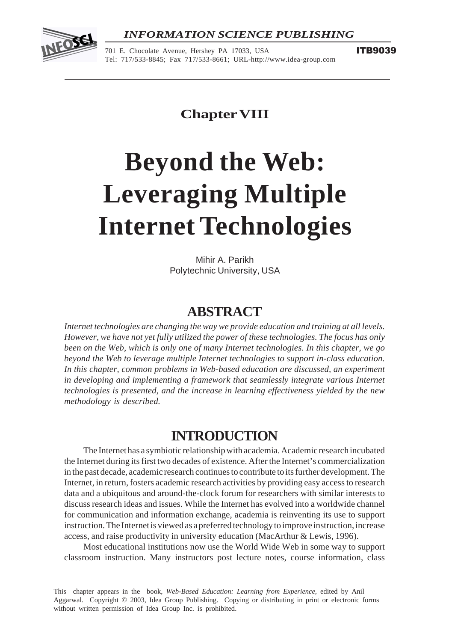#### *INFORMATION SCIENCE PUBLISHING*



701 E. Chocolate Avenue, Hershey PA 17033, USA Tel: 717/533-8845; Fax 717/533-8661; URL-http://www.idea-group.com **ITB9039** 

# **Chapter VIII**

# **Beyond the Web: Leveraging Multiple Internet Technologies**

Mihir A. Parikh Polytechnic University, USA

# **ABSTRACT**

*Internet technologies are changing the way we provide education and training at all levels. However, we have not yet fully utilized the power of these technologies. The focus has only been on the Web, which is only one of many Internet technologies. In this chapter, we go beyond the Web to leverage multiple Internet technologies to support in-class education. In this chapter, common problems in Web-based education are discussed, an experiment in developing and implementing a framework that seamlessly integrate various Internet technologies is presented, and the increase in learning effectiveness yielded by the new methodology is described.*

## **INTRODUCTION**

The Internet has a symbiotic relationship with academia. Academic research incubated the Internet during its first two decades of existence. After the Internet's commercialization in the past decade, academic research continues to contribute to its further development. The Internet, in return, fosters academic research activities by providing easy access to research data and a ubiquitous and around-the-clock forum for researchers with similar interests to discuss research ideas and issues. While the Internet has evolved into a worldwide channel for communication and information exchange, academia is reinventing its use to support instruction. The Internet is viewed as a preferred technology to improve instruction, increase access, and raise productivity in university education (MacArthur & Lewis, 1996).

Most educational institutions now use the World Wide Web in some way to support classroom instruction. Many instructors post lecture notes, course information, class

This chapter appears in the book, Web-Based Education: Learning from Experience, edited by Anil Aggarwal. Copyright © 2003, Idea Group Publishing. Copying or distributing in print or electronic forms without written permission of Idea Group Inc. is prohibited.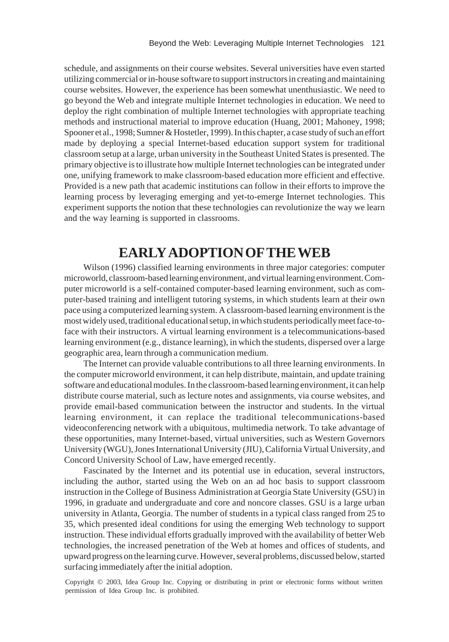schedule, and assignments on their course websites. Several universities have even started utilizing commercial or in-house software to support instructors in creating and maintaining course websites. However, the experience has been somewhat unenthusiastic. We need to go beyond the Web and integrate multiple Internet technologies in education. We need to deploy the right combination of multiple Internet technologies with appropriate teaching methods and instructional material to improve education (Huang, 2001; Mahoney, 1998; Spooner et al., 1998; Sumner & Hostetler, 1999). In this chapter, a case study of such an effort made by deploying a special Internet-based education support system for traditional classroom setup at a large, urban university in the Southeast United States is presented. The primary objective is to illustrate how multiple Internet technologies can be integrated under one, unifying framework to make classroom-based education more efficient and effective. Provided is a new path that academic institutions can follow in their efforts to improve the learning process by leveraging emerging and yet-to-emerge Internet technologies. This experiment supports the notion that these technologies can revolutionize the way we learn and the way learning is supported in classrooms.

## **EARLY ADOPTION OF THE WEB**

Wilson (1996) classified learning environments in three major categories: computer microworld, classroom-based learning environment, and virtual learning environment. Computer microworld is a self-contained computer-based learning environment, such as computer-based training and intelligent tutoring systems, in which students learn at their own pace using a computerized learning system. A classroom-based learning environment is the most widely used, traditional educational setup, in which students periodically meet face-toface with their instructors. A virtual learning environment is a telecommunications-based learning environment (e.g., distance learning), in which the students, dispersed over a large geographic area, learn through a communication medium.

The Internet can provide valuable contributions to all three learning environments. In the computer microworld environment, it can help distribute, maintain, and update training software and educational modules. In the classroom-based learning environment, it can help distribute course material, such as lecture notes and assignments, via course websites, and provide email-based communication between the instructor and students. In the virtual learning environment, it can replace the traditional telecommunications-based videoconferencing network with a ubiquitous, multimedia network. To take advantage of these opportunities, many Internet-based, virtual universities, such as Western Governors University (WGU), Jones International University (JIU), California Virtual University, and Concord University School of Law, have emerged recently.

Fascinated by the Internet and its potential use in education, several instructors, including the author, started using the Web on an ad hoc basis to support classroom instruction in the College of Business Administration at Georgia State University (GSU) in 1996, in graduate and undergraduate and core and noncore classes. GSU is a large urban university in Atlanta, Georgia. The number of students in a typical class ranged from 25 to 35, which presented ideal conditions for using the emerging Web technology to support instruction. These individual efforts gradually improved with the availability of better Web technologies, the increased penetration of the Web at homes and offices of students, and upward progress on the learning curve. However, several problems, discussed below, started surfacing immediately after the initial adoption.

Copyright © 2003, Idea Group Inc. Copying or distributing in print or electronic forms without written permission of Idea Group Inc. is prohibited.